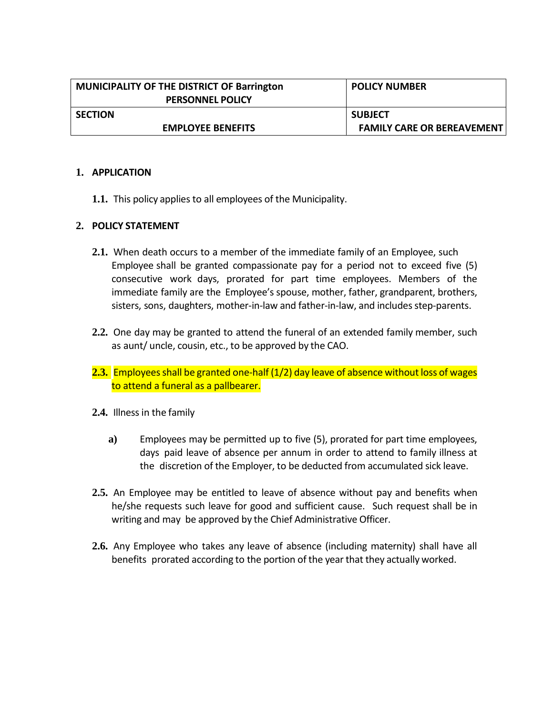| <b>MUNICIPALITY OF THE DISTRICT OF Barrington</b><br><b>PERSONNEL POLICY</b> | <b>POLICY NUMBER</b>              |
|------------------------------------------------------------------------------|-----------------------------------|
| <b>SECTION</b>                                                               | <b>SUBJECT</b>                    |
| <b>EMPLOYEE BENEFITS</b>                                                     | <b>FAMILY CARE OR BEREAVEMENT</b> |

## **1. APPLICATION**

1.1. This policy applies to all employees of the Municipality.

## **2. POLICY STATEMENT**

- **2.1.** When death occurs to a member of the immediate family of an Employee, such Employee shall be granted compassionate pay for a period not to exceed five (5) consecutive work days, prorated for part time employees. Members of the immediate family are the Employee's spouse, mother, father, grandparent, brothers, sisters, sons, daughters, mother-in-law and father-in-law, and includesstep-parents.
- **2.2.** One day may be granted to attend the funeral of an extended family member, such as aunt/ uncle, cousin, etc., to be approved by the CAO.
- **2.3.** Employees shall be granted one-half (1/2) day leave of absence without loss of wages to attend a funeral as a pallbearer.
- **2.4.** Illnessin the family
	- **a)** Employees may be permitted up to five (5), prorated for part time employees, days paid leave of absence per annum in order to attend to family illness at the discretion of the Employer, to be deducted from accumulated sick leave.
- **2.5.** An Employee may be entitled to leave of absence without pay and benefits when he/she requests such leave for good and sufficient cause. Such request shall be in writing and may be approved by the Chief Administrative Officer.
- **2.6.** Any Employee who takes any leave of absence (including maternity) shall have all benefits prorated according to the portion of the year that they actually worked.